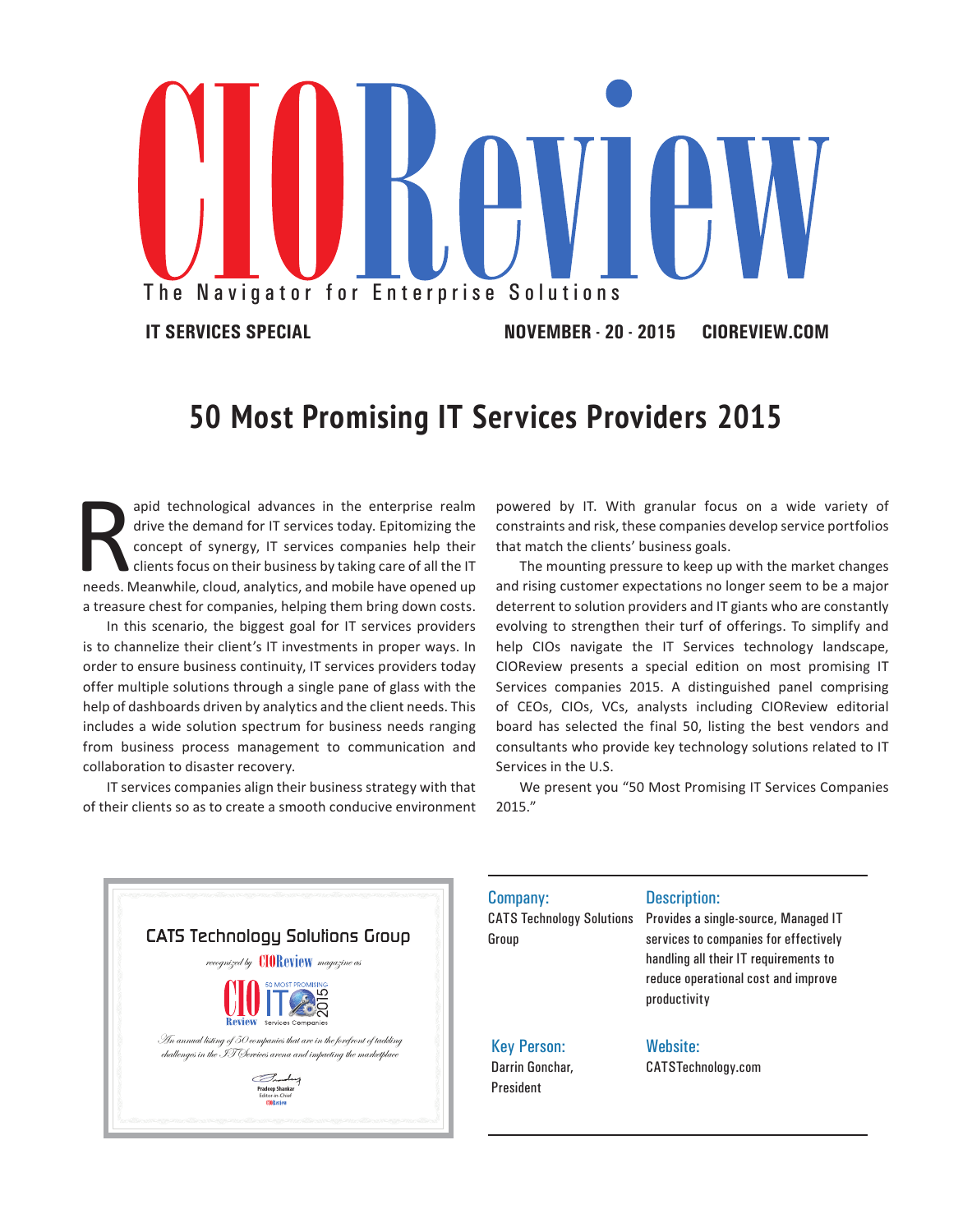

## **50 Most Promising IT Services Providers 2015**

R apid technological advances in the enterprise realm drive the demand for IT services today. Epitomizing the concept of synergy, IT services companies help their clients focus on their business by taking care of all the IT needs. Meanwhile, cloud, analytics, and mobile have opened up a treasure chest for companies, helping them bring down costs.

In this scenario, the biggest goal for IT services providers is to channelize their client's IT investments in proper ways. In order to ensure business continuity, IT services providers today offer multiple solutions through a single pane of glass with the help of dashboards driven by analytics and the client needs. This includes a wide solution spectrum for business needs ranging from business process management to communication and collaboration to disaster recovery.

IT services companies align their business strategy with that of their clients so as to create a smooth conducive environment powered by IT. With granular focus on a wide variety of constraints and risk, these companies develop service portfolios that match the clients' business goals.

The mounting pressure to keep up with the market changes and rising customer expectations no longer seem to be a major deterrent to solution providers and IT giants who are constantly evolving to strengthen their turf of offerings. To simplify and help CIOs navigate the IT Services technology landscape, CIOReview presents a special edition on most promising IT Services companies 2015. A distinguished panel comprising of CEOs, CIOs, VCs, analysts including CIOReview editorial board has selected the final 50, listing the best vendors and consultants who provide key technology solutions related to IT Services in the U.S.

We present you "50 Most Promising IT Services Companies 2015."



| Company:                                  | <b>Description:</b>                                                                                                                                                           |
|-------------------------------------------|-------------------------------------------------------------------------------------------------------------------------------------------------------------------------------|
| <b>CATS Technology Solutions</b><br>Group | Provides a single-source, Managed IT<br>services to companies for effectively<br>handling all their IT requirements to<br>reduce operational cost and improve<br>productivity |
| <b>Key Person:</b>                        | <b>Website:</b>                                                                                                                                                               |
| Darrin Gonchar.                           | CATSTechnology.com                                                                                                                                                            |
| <b>President</b>                          |                                                                                                                                                                               |